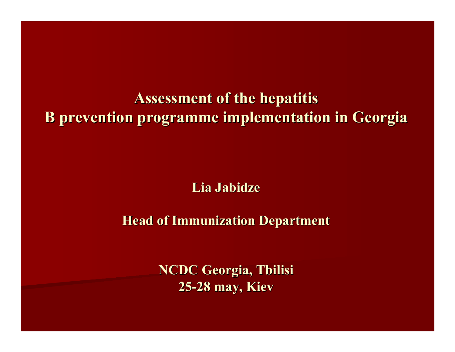**Assessment of the hepatitis Assessment of the hepatitis B prevention programme implementation in Georgia B prevention programme implementation in Georgia**

**Lia Jabidze Jabidze**

**Head of Immunization Department** 

**NCDC Georgia, Tbilisi NCDC Georgia, Tbilisi 25 -28 may, Kiev 28 may, Kiev**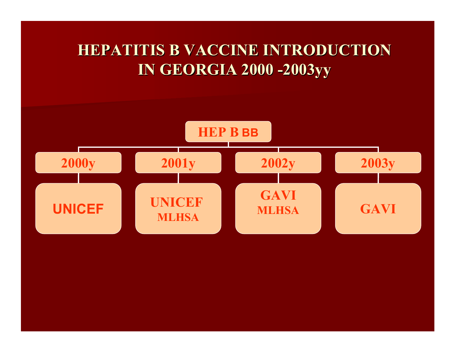## **HEPATITIS B VACCINE INTRODUCTION HEPATITIS B VACCINE INTRODUCTION IN GEORGIA 2000 IN GEORGIA 2000 -2003yy**

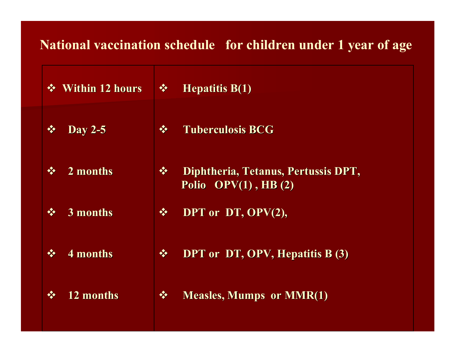### **National vaccination schedule for children under 1 year of age**

| $\frac{1}{2}$ | <b>Within 12 hours</b> | 察             | <b>Hepatitis B(1)</b>                                            |
|---------------|------------------------|---------------|------------------------------------------------------------------|
| $\frac{1}{2}$ | <b>Day 2-5</b>         | $\frac{1}{2}$ | <b>Tuberculosis BCG</b>                                          |
| $\frac{1}{2}$ | 2 months               | $\frac{1}{2}$ | Diphtheria, Tetanus, Pertussis DPT,<br>Polio $OPV(1)$ , HB $(2)$ |
| $\frac{1}{2}$ | 3 months               | $\frac{1}{2}$ | DPT or DT, OPV(2),                                               |
|               | 4 months               | $\frac{1}{2}$ | DPT or DT, OPV, Hepatitis B (3)                                  |
|               | 12 months              | $\frac{1}{2}$ | <b>Measles, Mumps or MMR(1)</b>                                  |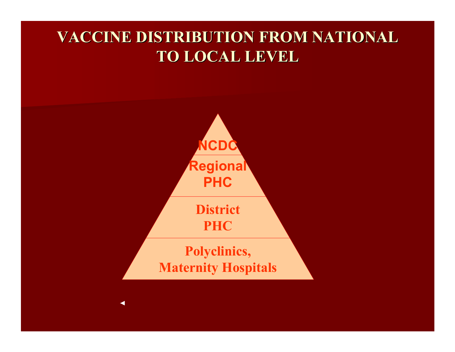## **VACCINE DISTRIBUTION FROM NATIONAL VACCINE DISTRIBUTION FROM NATIONAL TO LOCAL LEVEL TO LOCAL LEVEL**

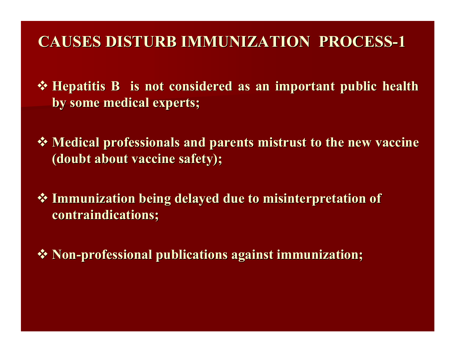### **CAUSES DISTURB IMMUNIZATION PROCESS CAUSES DISTURB IMMUNIZATION PROCESS- 1**

**\*** Hepatitis B is not considered as an important public health **by some medical experts by some medical experts;**

**\*** Medical professionals and parents mistrust to the new vaccine **(doubt about vaccine safety); (doubt about vaccine safety);**

 **Immunization being delayed due to misinterpretation of Immunization being delayed due to misinterpretation of contraindications contraindications;**

 $\cdot$  Non-professional publications against immunization;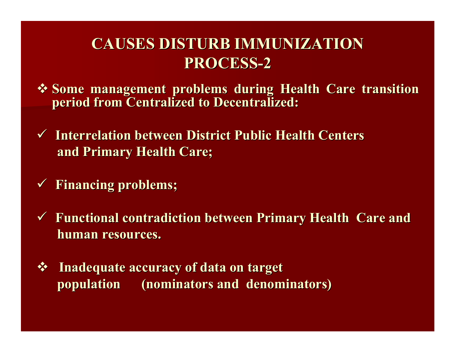## **CAUSES DISTURB IMMUNIZATION CAUSES DISTURB IMMUNIZATION PROCESS PROCESS- 2**

- **Some management problems during Health Care transition period from Centralized to Decentralized:**
- **√ Interrelation between District Public Health Centers and Primary Health Care;**
- 9 **Financing problems; Financing problems;**
- $\checkmark$  Functional contradiction between Primary Health Care and **human resources. human resources.**
- $\frac{1}{2}$ **Inadequate accuracy of data on target population (nominators and denominators) population (nominators and denominators)**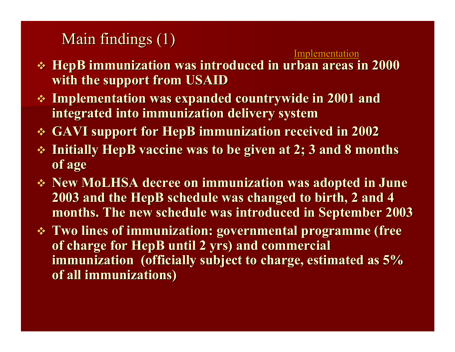Main findings  $(1)$ 

Implementation

- $\div$  HepB immunization was introduced in urban areas in 2000  $\pm$ **with the support from USAID with the support from USAID**
- **Examplementation was expanded countrywide in 2001 and integrated into immunization delivery system integrated into immunization delivery system**
- **GAVI support for GAVI support for HepB immunization received in 2002 immunization received in 2002**
- **Example 3 x 1nitially HepB vaccine was to be given at 2; 3 and 8 months of age**
- **New MoLHSA decree on immunization was adopted in June decree on immunization was adopted in June 2003 and the 2003 and the HepB schedule was changed to birth, 2 and 4 schedule was changed to birth, 2 and 4**  months. The new schedule was introduced in September 2003
- **Two lines of immunization: governmental programme (free Two lines of immunization: governmental programme (free of charge for HepB until 2 yrs) and commercial immunization** (officially subject to charge, estimated as  $5%$ **of all immunizations) of all immunizations)**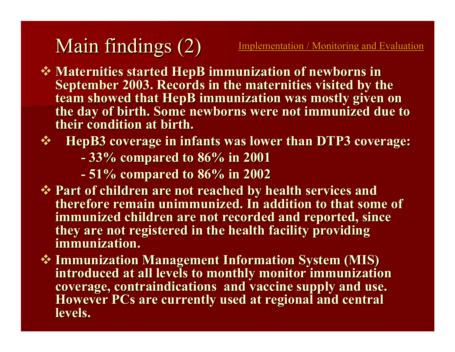# Main findings (2) Implementation / Monitoring and Evaluation

- **Maternities started Maternities started HepB immunization of newborns in immunization of newborns in September 2003. Records in the maternities visited by the team showed that HepB immunization was mostly given on** the day of birth. Some newborns were not immunized due to **their condition at birth. their condition at birth.**
- **\*** HepB3 coverage in infants was lower than DTP3 coverage:
	- **-33% compared to 86% in 2001 33% compared to 86% in 2001**
	- **-51% compared to 86% in 2002 51% compared to 86% in 2002**
- **◆ Part of children are not reached by health services and therefore remain therefore remain unimmunized unimmunized. In addition to that some of . In addition to that some of immunized children are not recorded and reported, since they are not registered in the health facility providing they are not registered in the health facility providing immunization. immunization.**
- $\cdot$  **Immunization Management Information System (MIS) introduced at all levels to monthly monitor immunization introduced at all levels to monthly monitor immunization coverage, contraindications and vaccine supply and use. coverage, contraindications and vaccine supply and use. However PCs are currently used at regional and central levels. levels.**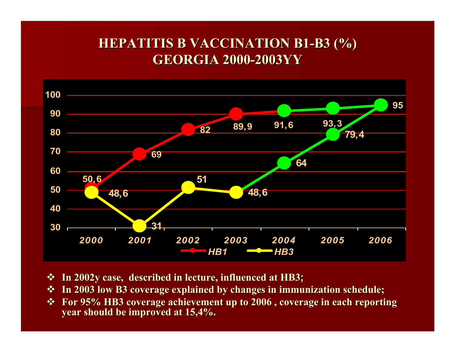#### **HEPATITIS B VACCINATION HEPATITIS B VACCINATION В 1 - В 3 (%) GEORGIA GEORGIA 200 0 -2003YY**



- **In 2002y case, described in lecture, influenced at HB3 In 2002y case, described in lecture, influenced at HB3;**
- $\div$  **In 2003 low B3 coverage explained by changes in immunization schedule;**
- $\mathbf{A}$ For 95% HB3 coverage achievement up to 2006, coverage in each reporting **year should be improved at 15,4%. year should be improved at 15,4%.**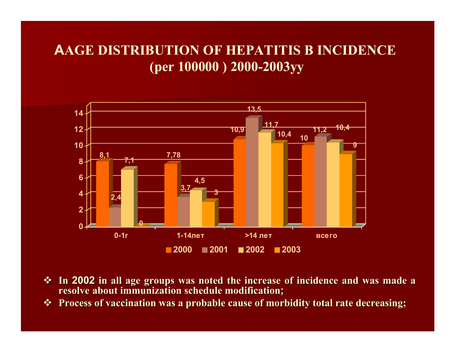### **AAGE DISTRIBUTION OF HEPATITIS B INCIDENCE(per 100000 ) 2000-2003yy**



- $\frac{1}{2}$  **In 2002 in all age groups was noted the increase of incidence and was made a resolve resolve about immunization schedule modification about immunization schedule modification;**
- $\frac{1}{2}$ **Process of vaccination was a probable cause of morbidity total rate decreasing;**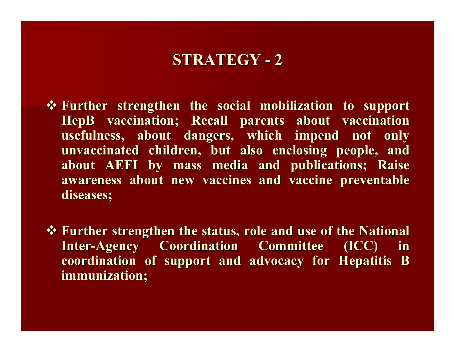## **STRATEGY - 2**

- $\mathbf{\hat{P}}$  Further strengthen the social mobilization to support **HepB vaccination; Recall parents about vaccination** usefulness, about dangers, which impend not only **unvaccinated children, but also enclosing people, and** about AEFI by mass media and publications; Raise awareness about new vaccines and vaccine preventable  $\bf{d}$  iseases;
- **\*** Further strengthen the status, role and use of the National **Inter-Agency Coordination Committee (ICC) in coordination of support and advocacy for Hepatitis B coordination of support and advocacy for Hepatitis B immunization; immunization;**